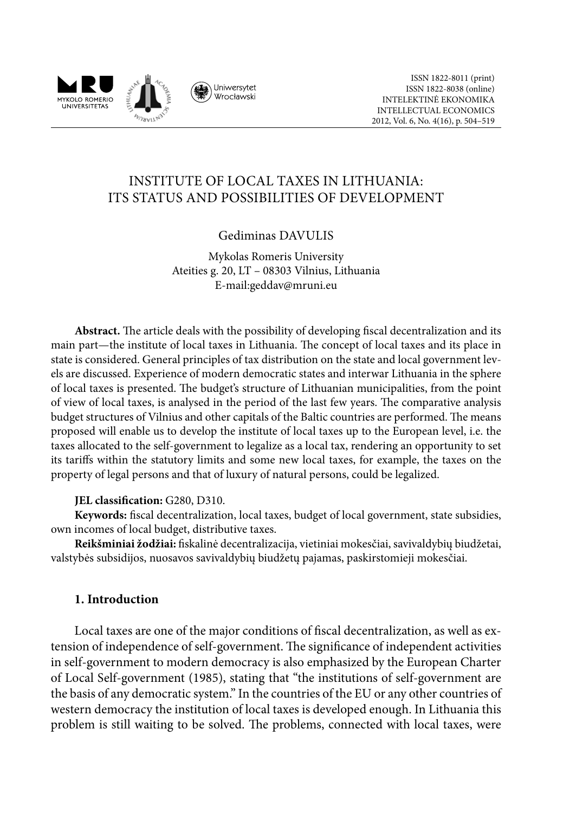

# INSTITUTE OF LOCAL TAXES IN LITHUANIA: ITS STATUS AND POSSIBILITIES OF DEVELOPMENT

## Gediminas DAVULIS

Mykolas Romeris University Ateities g. 20, LT – 08303 Vilnius, Lithuania E-mail:geddav@mruni.eu

**Abstract.** The article deals with the possibility of developing fiscal decentralization and its main part—the institute of local taxes in Lithuania. The concept of local taxes and its place in state is considered. General principles of tax distribution on the state and local government levels are discussed. Experience of modern democratic states and interwar Lithuania in the sphere of local taxes is presented. The budget's structure of Lithuanian municipalities, from the point of view of local taxes, is analysed in the period of the last few years. The comparative analysis budget structures of Vilnius and other capitals of the Baltic countries are performed. The means proposed will enable us to develop the institute of local taxes up to the European level, i.e. the taxes allocated to the self-government to legalize as a local tax, rendering an opportunity to set its tariffs within the statutory limits and some new local taxes, for example, the taxes on the property of legal persons and that of luxury of natural persons, could be legalized.

### **JEL classification:** G280, D310.

**Keywords:** fiscal decentralization, local taxes, budget of local government, state subsidies, own incomes of local budget, distributive taxes.

**Reikšminiai žodžiai:** fiskalinė decentralizacija, vietiniai mokesčiai, savivaldybių biudžetai, valstybės subsidijos, nuosavos savivaldybių biudžetų pajamas, paskirstomieji mokesčiai.

### **1. Introduction**

Local taxes are one of the major conditions of fiscal decentralization, as well as extension of independence of self-government. The significance of independent activities in self-government to modern democracy is also emphasized by the European Charter of Local Self-government (1985), stating that "the institutions of self-government are the basis of any democratic system." In the countries of the EU or any other countries of western democracy the institution of local taxes is developed enough. In Lithuania this problem is still waiting to be solved. The problems, connected with local taxes, were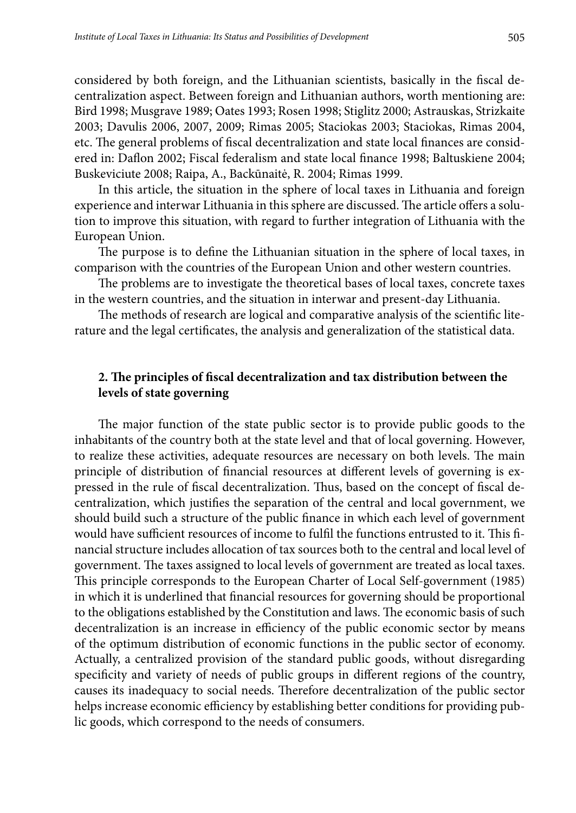considered by both foreign, and the Lithuanian scientists, basically in the fiscal decentralization aspect. Between foreign and Lithuanian authors, worth mentioning are: Bird 1998; Musgrave 1989; Oates 1993; Rosen 1998; Stiglitz 2000; Astrauskas, Strizkaite 2003; Davulis 2006, 2007, 2009; Rimas 2005; Staciokas 2003; Staciokas, Rimas 2004, etc. The general problems of fiscal decentralization and state local finances are considered in: Daflon 2002; Fiscal federalism and state local finance 1998; Baltuskiene 2004; Buskeviciute 2008; Raipa, A., Backūnaitė, R. 2004; Rimas 1999.

In this article, the situation in the sphere of local taxes in Lithuania and foreign experience and interwar Lithuania in this sphere are discussed. The article offers a solution to improve this situation, with regard to further integration of Lithuania with the European Union.

The purpose is to define the Lithuanian situation in the sphere of local taxes, in comparison with the countries of the European Union and other western countries.

The problems are to investigate the theoretical bases of local taxes, concrete taxes in the western countries, and the situation in interwar and present-day Lithuania.

The methods of research are logical and comparative analysis of the scientific literature and the legal certificates, the analysis and generalization of the statistical data.

## **2. The principles of fiscal decentralization and tax distribution between the levels of state governing**

The major function of the state public sector is to provide public goods to the inhabitants of the country both at the state level and that of local governing. However, to realize these activities, adequate resources are necessary on both levels. The main principle of distribution of financial resources at different levels of governing is expressed in the rule of fiscal decentralization. Thus, based on the concept of fiscal decentralization, which justifies the separation of the central and local government, we should build such a structure of the public finance in which each level of government would have sufficient resources of income to fulfil the functions entrusted to it. This financial structure includes allocation of tax sources both to the central and local level of government. The taxes assigned to local levels of government are treated as local taxes. This principle corresponds to the European Charter of Local Self-government (1985) in which it is underlined that financial resources for governing should be proportional to the obligations established by the Constitution and laws. The economic basis of such decentralization is an increase in efficiency of the public economic sector by means of the optimum distribution of economic functions in the public sector of economy. Actually, a centralized provision of the standard public goods, without disregarding specificity and variety of needs of public groups in different regions of the country, causes its inadequacy to social needs. Therefore decentralization of the public sector helps increase economic efficiency by establishing better conditions for providing public goods, which correspond to the needs of consumers.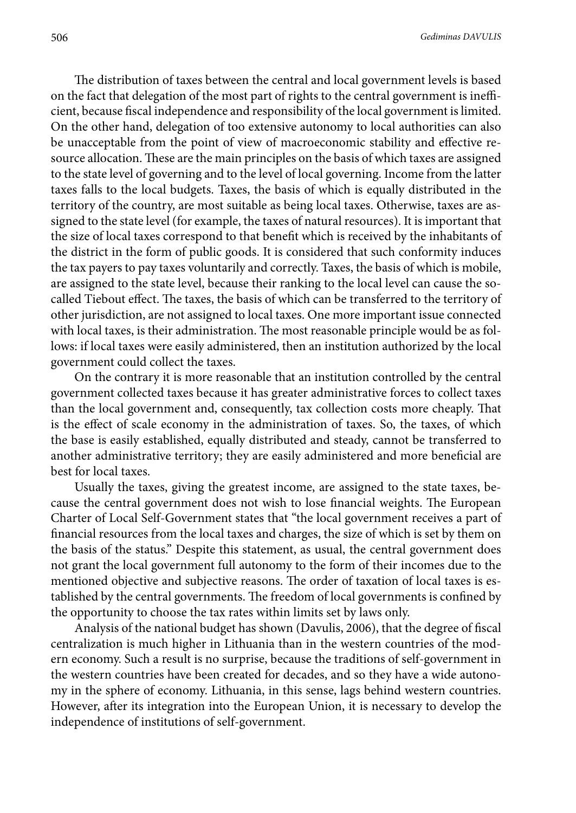The distribution of taxes between the central and local government levels is based on the fact that delegation of the most part of rights to the central government is inefficient, because fiscal independence and responsibility of the local government is limited. On the other hand, delegation of too extensive autonomy to local authorities can also be unacceptable from the point of view of macroeconomic stability and effective resource allocation. These are the main principles on the basis of which taxes are assigned to the state level of governing and to the level of local governing. Income from the latter taxes falls to the local budgets. Taxes, the basis of which is equally distributed in the territory of the country, are most suitable as being local taxes. Otherwise, taxes are assigned to the state level (for example, the taxes of natural resources). It is important that the size of local taxes correspond to that benefit which is received by the inhabitants of the district in the form of public goods. It is considered that such conformity induces the tax payers to pay taxes voluntarily and correctly. Taxes, the basis of which is mobile, are assigned to the state level, because their ranking to the local level can cause the socalled Tiebout effect. The taxes, the basis of which can be transferred to the territory of other jurisdiction, are not assigned to local taxes. One more important issue connected with local taxes, is their administration. The most reasonable principle would be as follows: if local taxes were easily administered, then an institution authorized by the local government could collect the taxes.

On the contrary it is more reasonable that an institution controlled by the central government collected taxes because it has greater administrative forces to collect taxes than the local government and, consequently, tax collection costs more cheaply. That is the effect of scale economy in the administration of taxes. So, the taxes, of which the base is easily established, equally distributed and steady, cannot be transferred to another administrative territory; they are easily administered and more beneficial are best for local taxes.

Usually the taxes, giving the greatest income, are assigned to the state taxes, because the central government does not wish to lose financial weights. The European Charter of Local Self-Government states that "the local government receives a part of financial resources from the local taxes and charges, the size of which is set by them on the basis of the status." Despite this statement, as usual, the central government does not grant the local government full autonomy to the form of their incomes due to the mentioned objective and subjective reasons. The order of taxation of local taxes is established by the central governments. The freedom of local governments is confined by the opportunity to choose the tax rates within limits set by laws only.

Analysis of the national budget has shown (Davulis, 2006), that the degree of fiscal centralization is much higher in Lithuania than in the western countries of the modern economy. Such a result is no surprise, because the traditions of self-government in the western countries have been created for decades, and so they have a wide autonomy in the sphere of economy. Lithuania, in this sense, lags behind western countries. However, after its integration into the European Union, it is necessary to develop the independence of institutions of self-government.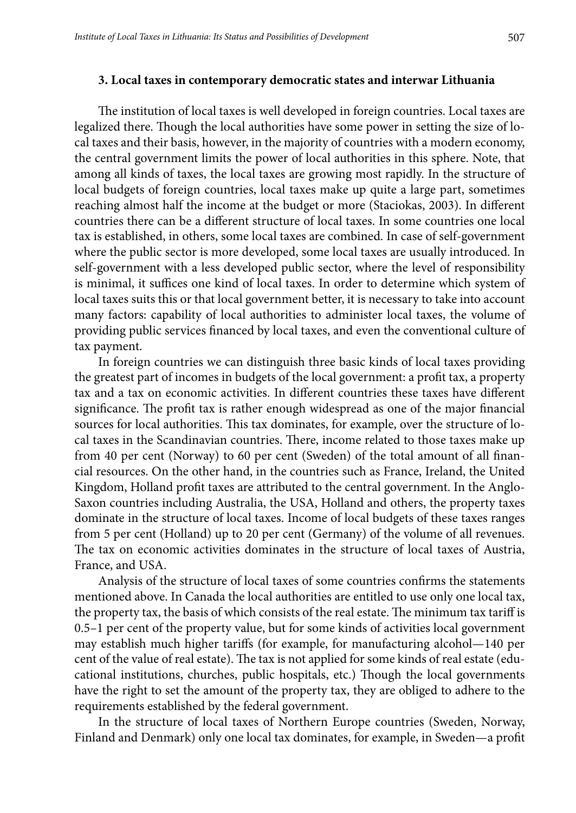## **3. Local taxes in contemporary democratic states and interwar Lithuania**

The institution of local taxes is well developed in foreign countries. Local taxes are legalized there. Though the local authorities have some power in setting the size of local taxes and their basis, however, in the majority of countries with a modern economy, the central government limits the power of local authorities in this sphere. Note, that among all kinds of taxes, the local taxes are growing most rapidly. In the structure of local budgets of foreign countries, local taxes make up quite a large part, sometimes reaching almost half the income at the budget or more (Staciokas, 2003). In different countries there can be a different structure of local taxes. In some countries one local tax is established, in others, some local taxes are combined. In case of self-government where the public sector is more developed, some local taxes are usually introduced. In self-government with a less developed public sector, where the level of responsibility is minimal, it suffices one kind of local taxes. In order to determine which system of local taxes suits this or that local government better, it is necessary to take into account many factors: capability of local authorities to administer local taxes, the volume of providing public services financed by local taxes, and even the conventional culture of tax payment.

In foreign countries we can distinguish three basic kinds of local taxes providing the greatest part of incomes in budgets of the local government: a profit tax, a property tax and a tax on economic activities. In different countries these taxes have different significance. The profit tax is rather enough widespread as one of the major financial sources for local authorities. This tax dominates, for example, over the structure of local taxes in the Scandinavian countries. There, income related to those taxes make up from 40 per cent (Norway) to 60 per cent (Sweden) of the total amount of all financial resources. On the other hand, in the countries such as France, Ireland, the United Kingdom, Holland profit taxes are attributed to the central government. In the Anglo-Saxon countries including Australia, the USA, Holland and others, the property taxes dominate in the structure of local taxes. Income of local budgets of these taxes ranges from 5 per cent (Holland) up to 20 per cent (Germany) of the volume of all revenues. The tax on economic activities dominates in the structure of local taxes of Austria, France, and USA.

Analysis of the structure of local taxes of some countries confirms the statements mentioned above. In Canada the local authorities are entitled to use only one local tax, the property tax, the basis of which consists of the real estate. The minimum tax tariff is 0.5–1 per cent of the property value, but for some kinds of activities local government may establish much higher tariffs (for example, for manufacturing alcohol—140 per cent of the value of real estate). The tax is not applied for some kinds of real estate (educational institutions, churches, public hospitals, etc.) Though the local governments have the right to set the amount of the property tax, they are obliged to adhere to the requirements established by the federal government.

In the structure of local taxes of Northern Europe countries (Sweden, Norway, Finland and Denmark) only one local tax dominates, for example, in Sweden—a profit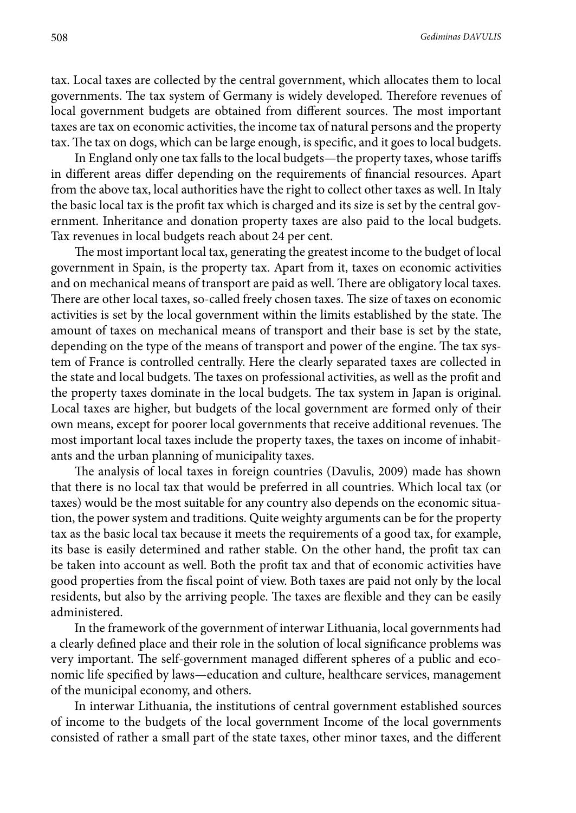tax. Local taxes are collected by the central government, which allocates them to local governments. The tax system of Germany is widely developed. Therefore revenues of local government budgets are obtained from different sources. The most important taxes are tax on economic activities, the income tax of natural persons and the property tax. The tax on dogs, which can be large enough, is specific, and it goes to local budgets.

In England only one tax falls to the local budgets—the property taxes, whose tariffs in different areas differ depending on the requirements of financial resources. Apart from the above tax, local authorities have the right to collect other taxes as well. In Italy the basic local tax is the profit tax which is charged and its size is set by the central government. Inheritance and donation property taxes are also paid to the local budgets. Tax revenues in local budgets reach about 24 per cent.

The most important local tax, generating the greatest income to the budget of local government in Spain, is the property tax. Apart from it, taxes on economic activities and on mechanical means of transport are paid as well. There are obligatory local taxes. There are other local taxes, so-called freely chosen taxes. The size of taxes on economic activities is set by the local government within the limits established by the state. The amount of taxes on mechanical means of transport and their base is set by the state, depending on the type of the means of transport and power of the engine. The tax system of France is controlled centrally. Here the clearly separated taxes are collected in the state and local budgets. The taxes on professional activities, as well as the profit and the property taxes dominate in the local budgets. The tax system in Japan is original. Local taxes are higher, but budgets of the local government are formed only of their own means, except for poorer local governments that receive additional revenues. The most important local taxes include the property taxes, the taxes on income of inhabitants and the urban planning of municipality taxes.

The analysis of local taxes in foreign countries (Davulis, 2009) made has shown that there is no local tax that would be preferred in all countries. Which local tax (or taxes) would be the most suitable for any country also depends on the economic situation, the power system and traditions. Quite weighty arguments can be for the property tax as the basic local tax because it meets the requirements of a good tax, for example, its base is easily determined and rather stable. On the other hand, the profit tax can be taken into account as well. Both the profit tax and that of economic activities have good properties from the fiscal point of view. Both taxes are paid not only by the local residents, but also by the arriving people. The taxes are flexible and they can be easily administered.

In the framework of the government of interwar Lithuania, local governments had a clearly defined place and their role in the solution of local significance problems was very important. The self-government managed different spheres of a public and economic life specified by laws—education and culture, healthcare services, management of the municipal economy, and others.

In interwar Lithuania, the institutions of central government established sources of income to the budgets of the local government Income of the local governments consisted of rather a small part of the state taxes, other minor taxes, and the different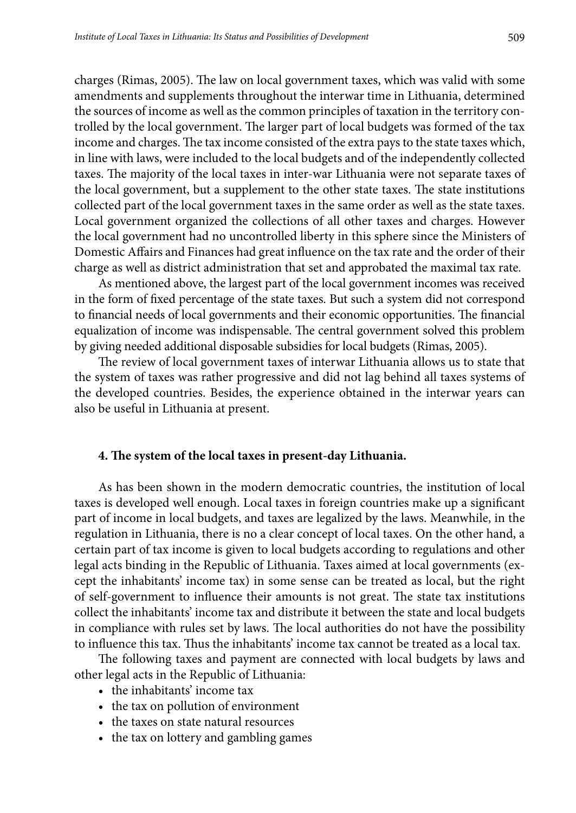charges (Rimas, 2005). The law on local government taxes, which was valid with some amendments and supplements throughout the interwar time in Lithuania, determined the sources of income as well as the common principles of taxation in the territory controlled by the local government. The larger part of local budgets was formed of the tax income and charges. The tax income consisted of the extra pays to the state taxes which, in line with laws, were included to the local budgets and of the independently collected taxes. The majority of the local taxes in inter-war Lithuania were not separate taxes of the local government, but a supplement to the other state taxes. The state institutions collected part of the local government taxes in the same order as well as the state taxes. Local government organized the collections of all other taxes and charges. However the local government had no uncontrolled liberty in this sphere since the Ministers of Domestic Affairs and Finances had great influence on the tax rate and the order of their charge as well as district administration that set and approbated the maximal tax rate.

As mentioned above, the largest part of the local government incomes was received in the form of fixed percentage of the state taxes. But such a system did not correspond to financial needs of local governments and their economic opportunities. The financial equalization of income was indispensable. The central government solved this problem by giving needed additional disposable subsidies for local budgets (Rimas, 2005).

The review of local government taxes of interwar Lithuania allows us to state that the system of taxes was rather progressive and did not lag behind all taxes systems of the developed countries. Besides, the experience obtained in the interwar years can also be useful in Lithuania at present.

## **4. The system of the local taxes in present-day Lithuania.**

As has been shown in the modern democratic countries, the institution of local taxes is developed well enough. Local taxes in foreign countries make up a significant part of income in local budgets, and taxes are legalized by the laws. Meanwhile, in the regulation in Lithuania, there is no a clear concept of local taxes. On the other hand, a certain part of tax income is given to local budgets according to regulations and other legal acts binding in the Republic of Lithuania. Taxes aimed at local governments (except the inhabitants' income tax) in some sense can be treated as local, but the right of self-government to influence their amounts is not great. The state tax institutions collect the inhabitants' income tax and distribute it between the state and local budgets in compliance with rules set by laws. The local authorities do not have the possibility to influence this tax. Thus the inhabitants' income tax cannot be treated as a local tax.

The following taxes and payment are connected with local budgets by laws and other legal acts in the Republic of Lithuania:

- the inhabitants' income tax
- the tax on pollution of environment
- the taxes on state natural resources
- the tax on lottery and gambling games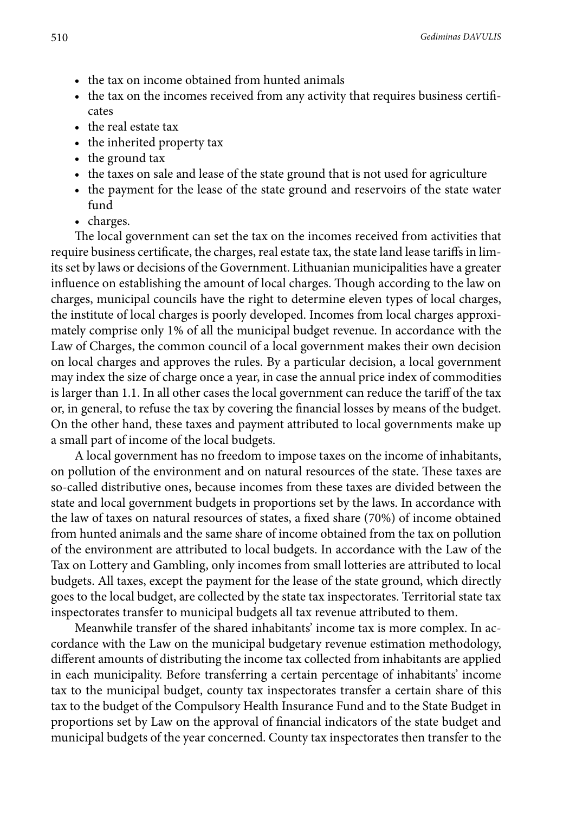- the tax on income obtained from hunted animals
- the tax on the incomes received from any activity that requires business certificates
- the real estate tax
- the inherited property tax
- the ground tax
- the taxes on sale and lease of the state ground that is not used for agriculture
- the payment for the lease of the state ground and reservoirs of the state water fund
- charges.

The local government can set the tax on the incomes received from activities that require business certificate, the charges, real estate tax, the state land lease tariffs in limits set by laws or decisions of the Government. Lithuanian municipalities have a greater influence on establishing the amount of local charges. Though according to the law on charges, municipal councils have the right to determine eleven types of local charges, the institute of local charges is poorly developed. Incomes from local charges approximately comprise only 1% of all the municipal budget revenue. In accordance with the Law of Charges, the common council of a local government makes their own decision on local charges and approves the rules. By a particular decision, a local government may index the size of charge once a year, in case the annual price index of commodities is larger than 1.1. In all other cases the local government can reduce the tariff of the tax or, in general, to refuse the tax by covering the financial losses by means of the budget. On the other hand, these taxes and payment attributed to local governments make up a small part of income of the local budgets.

A local government has no freedom to impose taxes on the income of inhabitants, on pollution of the environment and on natural resources of the state. These taxes are so-called distributive ones, because incomes from these taxes are divided between the state and local government budgets in proportions set by the laws. In accordance with the law of taxes on natural resources of states, a fixed share (70%) of income obtained from hunted animals and the same share of income obtained from the tax on pollution of the environment are attributed to local budgets. In accordance with the Law of the Tax on Lottery and Gambling, only incomes from small lotteries are attributed to local budgets. All taxes, except the payment for the lease of the state ground, which directly goes to the local budget, are collected by the state tax inspectorates. Territorial state tax inspectorates transfer to municipal budgets all tax revenue attributed to them.

Meanwhile transfer of the shared inhabitants' income tax is more complex. In accordance with the Law on the municipal budgetary revenue estimation methodology, different amounts of distributing the income tax collected from inhabitants are applied in each municipality. Before transferring a certain percentage of inhabitants' income tax to the municipal budget, county tax inspectorates transfer a certain share of this tax to the budget of the Compulsory Health Insurance Fund and to the State Budget in proportions set by Law on the approval of financial indicators of the state budget and municipal budgets of the year concerned. County tax inspectorates then transfer to the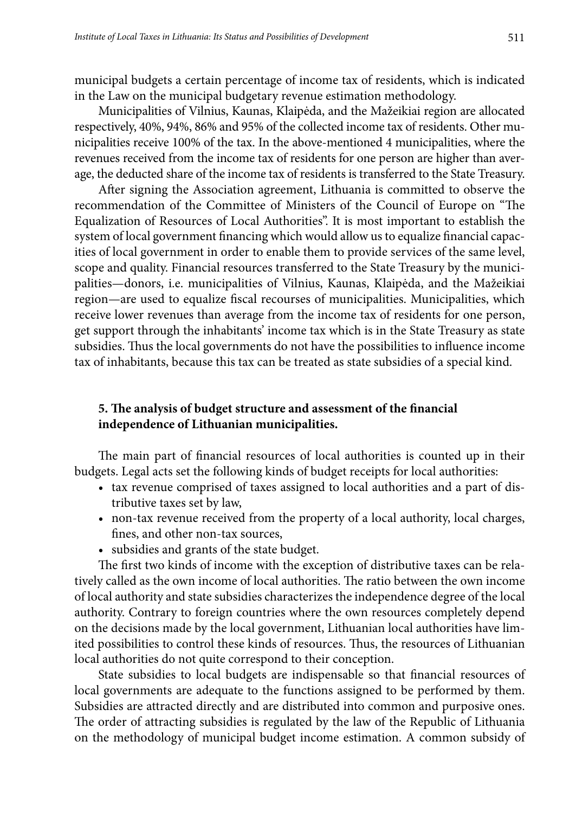municipal budgets a certain percentage of income tax of residents, which is indicated in the Law on the municipal budgetary revenue estimation methodology.

Municipalities of Vilnius, Kaunas, Klaipėda, and the Mažeikiai region are allocated respectively, 40%, 94%, 86% and 95% of the collected income tax of residents. Other municipalities receive 100% of the tax. In the above-mentioned 4 municipalities, where the revenues received from the income tax of residents for one person are higher than average, the deducted share of the income tax of residents is transferred to the State Treasury.

After signing the Association agreement, Lithuania is committed to observe the recommendation of the Committee of Ministers of the Council of Europe on "The Equalization of Resources of Local Authorities". It is most important to establish the system of local government financing which would allow us to equalize financial capacities of local government in order to enable them to provide services of the same level, scope and quality. Financial resources transferred to the State Treasury by the municipalities—donors, i.e. municipalities of Vilnius, Kaunas, Klaipėda, and the Mažeikiai region—are used to equalize fiscal recourses of municipalities. Municipalities, which receive lower revenues than average from the income tax of residents for one person, get support through the inhabitants' income tax which is in the State Treasury as state subsidies. Thus the local governments do not have the possibilities to influence income tax of inhabitants, because this tax can be treated as state subsidies of a special kind.

## **5. The analysis of budget structure and assessment of the financial independence of Lithuanian municipalities.**

The main part of financial resources of local authorities is counted up in their budgets. Legal acts set the following kinds of budget receipts for local authorities:

- tax revenue comprised of taxes assigned to local authorities and a part of distributive taxes set by law,
- non-tax revenue received from the property of a local authority, local charges, fines, and other non-tax sources,
- • subsidies and grants of the state budget.

The first two kinds of income with the exception of distributive taxes can be relatively called as the own income of local authorities. The ratio between the own income of local authority and state subsidies characterizes the independence degree of the local authority. Contrary to foreign countries where the own resources completely depend on the decisions made by the local government, Lithuanian local authorities have limited possibilities to control these kinds of resources. Thus, the resources of Lithuanian local authorities do not quite correspond to their conception.

State subsidies to local budgets are indispensable so that financial resources of local governments are adequate to the functions assigned to be performed by them. Subsidies are attracted directly and are distributed into common and purposive ones. The order of attracting subsidies is regulated by the law of the Republic of Lithuania on the methodology of municipal budget income estimation. A common subsidy of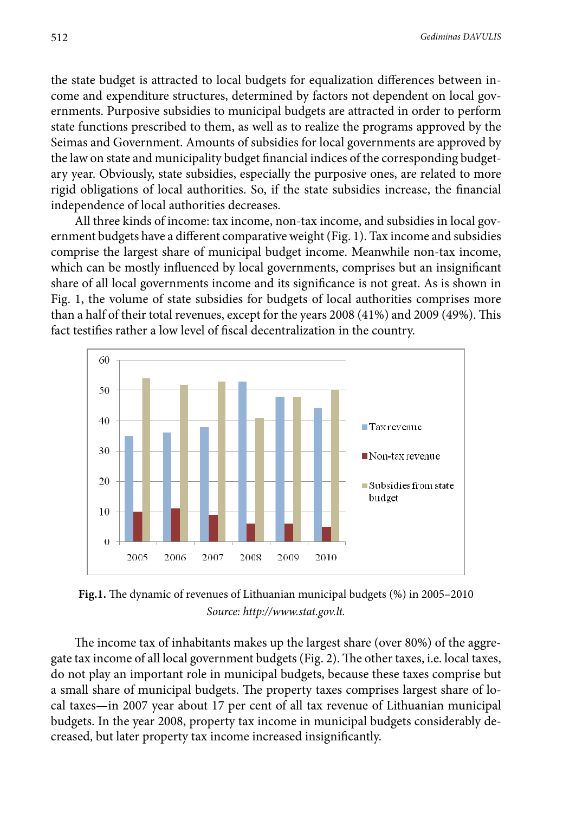the state budget is attracted to local budgets for equalization differences between income and expenditure structures, determined by factors not dependent on local governments. Purposive subsidies to municipal budgets are attracted in order to perform state functions prescribed to them, as well as to realize the programs approved by the Seimas and Government. Amounts of subsidies for local governments are approved by the law on state and municipality budget financial indices of the corresponding budgetary year. Obviously, state subsidies, especially the purposive ones, are related to more rigid obligations of local authorities. So, if the state subsidies increase, the financial independence of local authorities decreases.

All three kinds of income: tax income, non-tax income, and subsidies in local government budgets have a different comparative weight (Fig. 1). Tax income and subsidies comprise the largest share of municipal budget income. Meanwhile non-tax income, which can be mostly influenced by local governments, comprises but an insignificant share of all local governments income and its significance is not great. As is shown in Fig. 1, the volume of state subsidies for budgets of local authorities comprises more than a half of their total revenues, except for the years 2008 (41%) and 2009 (49%). This fact testifies rather a low level of fiscal decentralization in the country.



 **Fig.1.** The dynamic of revenues of Lithuanian municipal budgets (%) in 2005–2010 *Source: http://www.stat.gov.lt.*

The income tax of inhabitants makes up the largest share (over 80%) of the aggregate tax income of all local government budgets (Fig. 2). The other taxes, i.e. local taxes, do not play an important role in municipal budgets, because these taxes comprise but a small share of municipal budgets. The property taxes comprises largest share of local taxes—in 2007 year about 17 per cent of all tax revenue of Lithuanian municipal budgets. In the year 2008, property tax income in municipal budgets considerably decreased, but later property tax income increased insignificantly.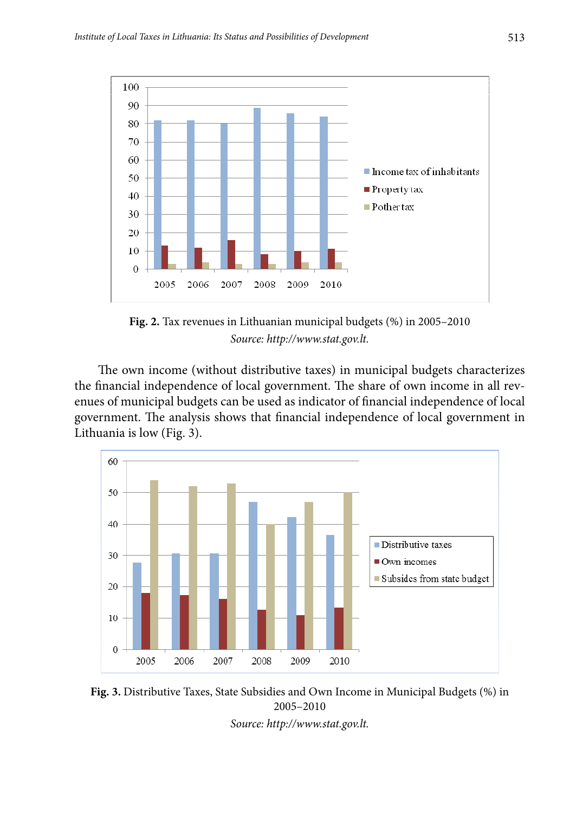

 **Fig. 2.** Tax revenues in Lithuanian municipal budgets (%) in 2005–2010 *Source: http://www.stat.gov.lt.*

The own income (without distributive taxes) in municipal budgets characterizes the financial independence of local government. The share of own income in all revenues of municipal budgets can be used as indicator of financial independence of local government. The analysis shows that financial independence of local government in Lithuania is low (Fig. 3).





*Source: [http://www.stat.gov.lt.](http://www.stat.gov.lt)*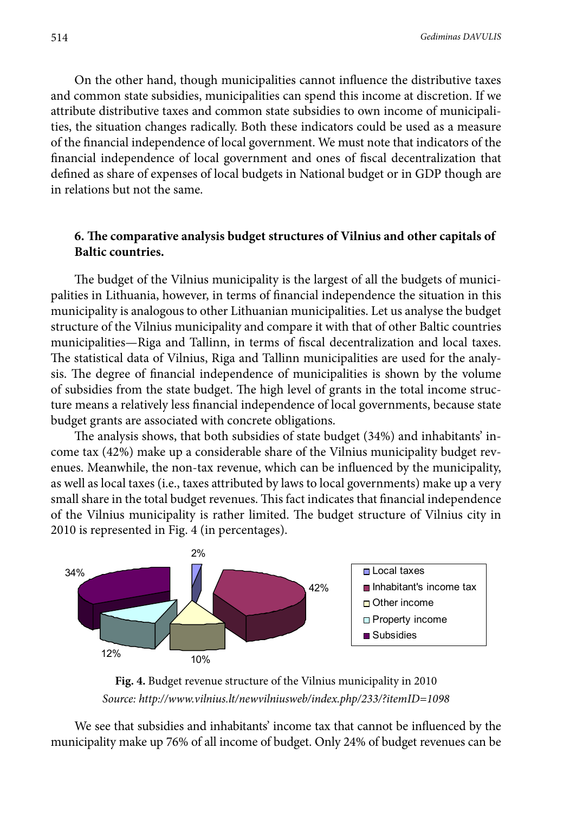On the other hand, though municipalities cannot influence the distributive taxes and common state subsidies, municipalities can spend this income at discretion. If we attribute distributive taxes and common state subsidies to own income of municipalities, the situation changes radically. Both these indicators could be used as a measure of the financial independence of local government. We must note that indicators of the financial independence of local government and ones of fiscal decentralization that defined as share of expenses of local budgets in National budget or in GDP though are in relations but not the same.

## **6. The comparative analysis budget structures of Vilnius and other capitals of Baltic countries.**

The budget of the Vilnius municipality is the largest of all the budgets of municipalities in Lithuania, however, in terms of financial independence the situation in this municipality is analogous to other Lithuanian municipalities. Let us analyse the budget structure of the Vilnius municipality and compare it with that of other Baltic countries municipalities—Riga and Tallinn, in terms of fiscal decentralization and local taxes. The statistical data of Vilnius, Riga and Tallinn municipalities are used for the analysis. The degree of financial independence of municipalities is shown by the volume of subsidies from the state budget. The high level of grants in the total income structure means a relatively less financial independence of local governments, because state budget grants are associated with concrete obligations.

The analysis shows, that both subsidies of state budget (34%) and inhabitants' income tax (42%) make up a considerable share of the Vilnius municipality budget revenues. Meanwhile, the non-tax revenue, which can be influenced by the municipality, as well as local taxes (i.e., taxes attributed by laws to local governments) make up a very small share in the total budget revenues. This fact indicates that financial independence of the Vilnius municipality is rather limited. The budget structure of Vilnius city in 2010 is represented in Fig. 4 (in percentages).



**Fig. 4.** Budget revenue structure of the Vilnius municipality in 2010 *Source:<http://www.vilnius.lt/newvilniusweb/index.php/233/?itemID=1098>*

 $\frac{1}{2}$   $\frac{1}{2}$   $\frac{1}{2}$   $\frac{1}{2}$   $\frac{1}{2}$   $\frac{1}{2}$   $\frac{1}{2}$   $\frac{1}{2}$   $\frac{1}{2}$   $\frac{1}{2}$   $\frac{1}{2}$   $\frac{1}{2}$   $\frac{1}{2}$   $\frac{1}{2}$   $\frac{1}{2}$   $\frac{1}{2}$   $\frac{1}{2}$   $\frac{1}{2}$   $\frac{1}{2}$   $\frac{1}{2}$   $\frac{1}{2}$   $\frac{1}{2}$  We see that subsidies and inhabitants' income tax that cannot be influenced by the municipality make up 76% of all income of budget. Only 24% of budget revenues can be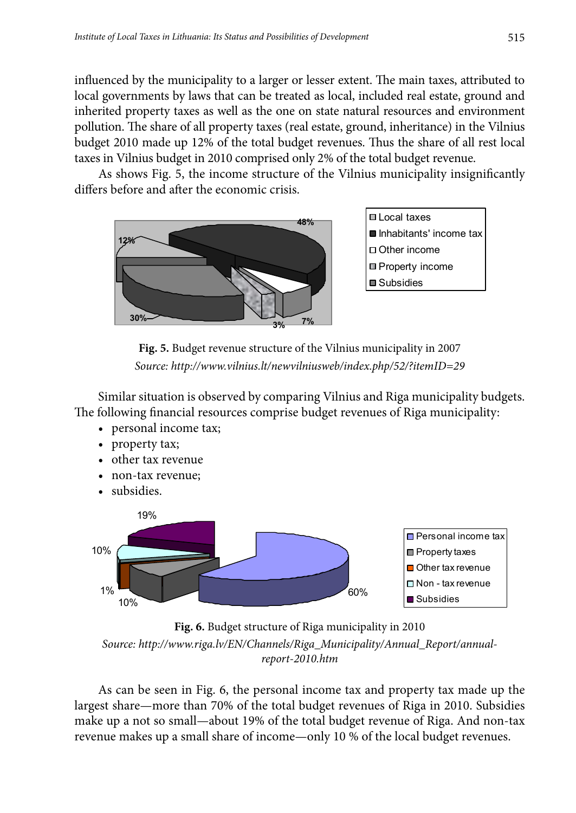influenced by the municipality to a larger or lesser extent. The main taxes, attributed to local governments by laws that can be treated as local, included real estate, ground and inherited property taxes as well as the one on state natural resources and environment pollution. The share of all property taxes (real estate, ground, inheritance) in the Vilnius budget 2010 made up 12% of the total budget revenues. Thus the share of all rest local taxes in Vilnius budget in 2010 comprised only 2% of the total budget revenue.

As shows Fig. 5, the income structure of the Vilnius municipality insignificantly differs before and after the economic crisis.



**□ Local taxes** Inhabitants' income tax □ Other income **□** Property income ■ Subsidies

**Fig. 5.** Budget revenue structure of the Vilnius municipality in 2007 *Source:<http://www.vilnius.lt/newvilniusweb/index.php/52/?itemID=29>*

 Similar situation is observed by comparing Vilnius and Riga municipality budgets. The following financial resources comprise budget revenues of Riga municipality:

- personal income tax;
- property tax;
- • other tax revenue
- non-tax revenue:
- subsidies.



**Fig. 6.** Budget structure of Riga municipality in 2010 *Source: [http://www.riga.lv/EN/Channels/Riga\\_Municipality/Annual\\_Report/annual](http://www.riga.lv/EN/Channels/Riga_Municipality/Annual_Report/annual-report-2010.htm)[report-2010.htm](http://www.riga.lv/EN/Channels/Riga_Municipality/Annual_Report/annual-report-2010.htm)*

 $\mathbf{r} = \begin{pmatrix} 1 & 1 & 1 \\ 1 & 1 & 1 \end{pmatrix}$  As can be seen in Fig. 6, the personal income tax and property tax made up the largest share—more than 70% of the total budget revenues of Riga in 2010. Subsidies make up a not so small—about 19% of the total budget revenue of Riga. And non-tax revenue makes up a small share of income—only 10 % of the local budget revenues.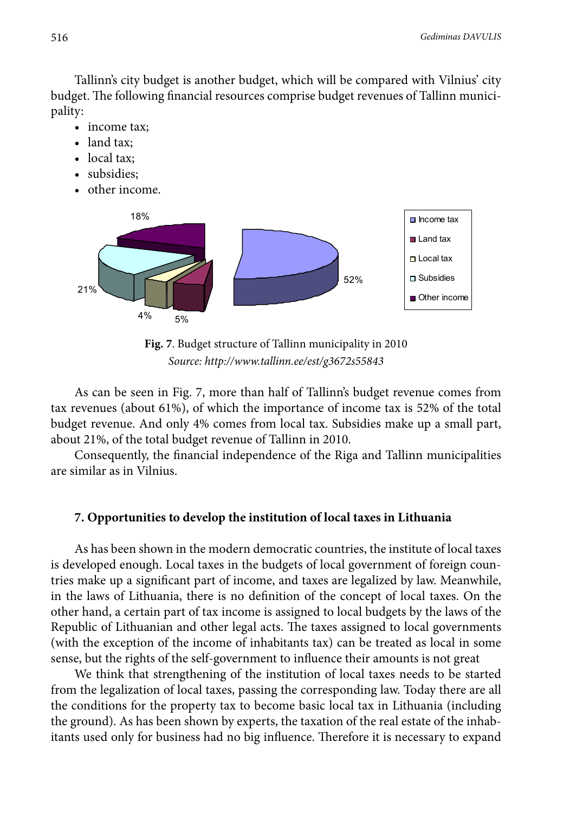Tallinn's city budget is another budget, which will be compared with Vilnius' city budget. The following financial resources comprise budget revenues of Tallinn municipality:

- income tax:
- land tax:
- local tax:
- subsidies:
- other income.





 As can be seen in Fig. 7, more than half of Tallinn's budget revenue comes from tax revenues (about 61%), of which the importance of income tax is 52% of the total budget revenue. And only 4% comes from local tax. Subsidies make up a small part, about 21%, of the total budget revenue of Tallinn in 2010.

Consequently, the financial independence of the Riga and Tallinn municipalities are similar as in Vilnius.

### **7. Opportunities to develop the institution of local taxes in Lithuania**

As has been shown in the modern democratic countries, the institute of local taxes is developed enough. Local taxes in the budgets of local government of foreign countries make up a significant part of income, and taxes are legalized by law. Meanwhile, in the laws of Lithuania, there is no definition of the concept of local taxes. On the other hand, a certain part of tax income is assigned to local budgets by the laws of the Republic of Lithuanian and other legal acts. The taxes assigned to local governments (with the exception of the income of inhabitants tax) can be treated as local in some sense, but the rights of the self-government to influence their amounts is not great

We think that strengthening of the institution of local taxes needs to be started from the legalization of local taxes, passing the corresponding law. Today there are all the conditions for the property tax to become basic local tax in Lithuania (including the ground). As has been shown by experts, the taxation of the real estate of the inhabitants used only for business had no big influence. Therefore it is necessary to expand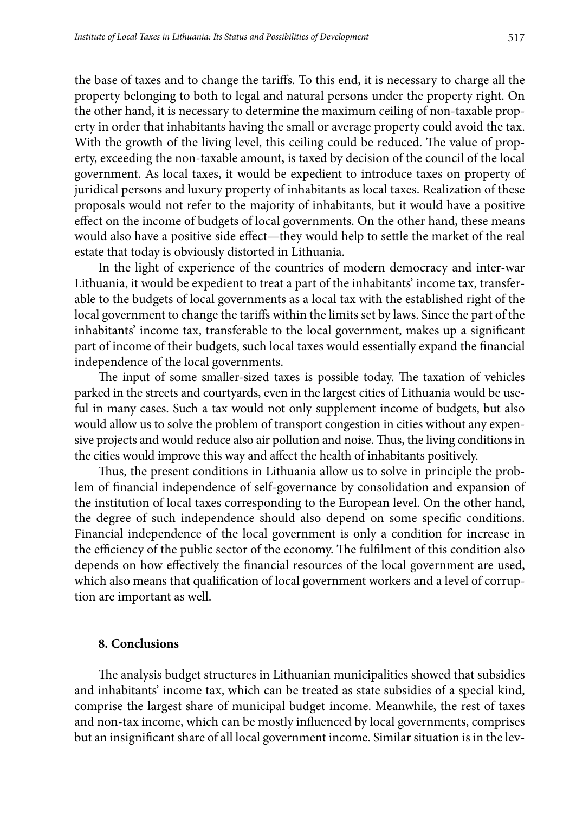the base of taxes and to change the tariffs. To this end, it is necessary to charge all the property belonging to both to legal and natural persons under the property right. On the other hand, it is necessary to determine the maximum ceiling of non-taxable property in order that inhabitants having the small or average property could avoid the tax. With the growth of the living level, this ceiling could be reduced. The value of property, exceeding the non-taxable amount, is taxed by decision of the council of the local government. As local taxes, it would be expedient to introduce taxes on property of juridical persons and luxury property of inhabitants as local taxes. Realization of these proposals would not refer to the majority of inhabitants, but it would have a positive effect on the income of budgets of local governments. On the other hand, these means would also have a positive side effect—they would help to settle the market of the real estate that today is obviously distorted in Lithuania.

In the light of experience of the countries of modern democracy and inter-war Lithuania, it would be expedient to treat a part of the inhabitants' income tax, transferable to the budgets of local governments as a local tax with the established right of the local government to change the tariffs within the limits set by laws. Since the part of the inhabitants' income tax, transferable to the local government, makes up a significant part of income of their budgets, such local taxes would essentially expand the financial independence of the local governments.

The input of some smaller-sized taxes is possible today. The taxation of vehicles parked in the streets and courtyards, even in the largest cities of Lithuania would be useful in many cases. Such a tax would not only supplement income of budgets, but also would allow us to solve the problem of transport congestion in cities without any expensive projects and would reduce also air pollution and noise. Thus, the living conditions in the cities would improve this way and affect the health of inhabitants positively.

Thus, the present conditions in Lithuania allow us to solve in principle the problem of financial independence of self-governance by consolidation and expansion of the institution of local taxes corresponding to the European level. On the other hand, the degree of such independence should also depend on some specific conditions. Financial independence of the local government is only a condition for increase in the efficiency of the public sector of the economy. The fulfilment of this condition also depends on how effectively the financial resources of the local government are used, which also means that qualification of local government workers and a level of corruption are important as well.

### **8. Conclusions**

The analysis budget structures in Lithuanian municipalities showed that subsidies and inhabitants' income tax, which can be treated as state subsidies of a special kind, comprise the largest share of municipal budget income. Meanwhile, the rest of taxes and non-tax income, which can be mostly influenced by local governments, comprises but an insignificant share of all local government income. Similar situation is in the lev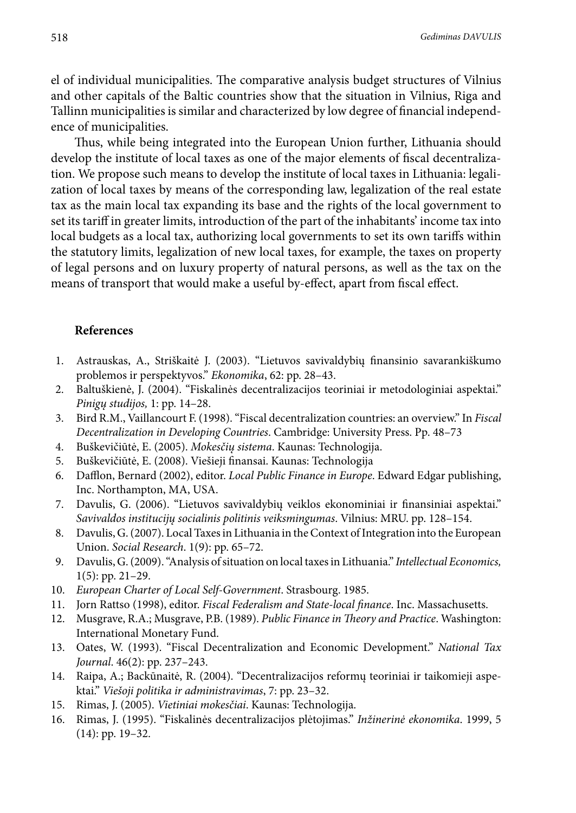el of individual municipalities. The comparative analysis budget structures of Vilnius and other capitals of the Baltic countries show that the situation in Vilnius, Riga and Tallinn municipalities is similar and characterized by low degree of financial independence of municipalities.

Thus, while being integrated into the European Union further, Lithuania should develop the institute of local taxes as one of the major elements of fiscal decentralization. We propose such means to develop the institute of local taxes in Lithuania: legalization of local taxes by means of the corresponding law, legalization of the real estate tax as the main local tax expanding its base and the rights of the local government to set its tariff in greater limits, introduction of the part of the inhabitants' income tax into local budgets as a local tax, authorizing local governments to set its own tariffs within the statutory limits, legalization of new local taxes, for example, the taxes on property of legal persons and on luxury property of natural persons, as well as the tax on the means of transport that would make a useful by-effect, apart from fiscal effect.

### **References**

- 1. Astrauskas, A., Striškaitė J. (2003). "Lietuvos savivaldybių finansinio savarankiškumo problemos ir perspektyvos." *Ekonomika*, 62: pp. 28–43.
- 2. Baltuškienė, J. (2004). "Fiskalinės decentralizacijos teoriniai ir metodologiniai aspektai." *Pinigų studijos,* 1: pp. 14–28.
- 3. Bird R.M., Vaillancourt F. (1998). "Fiscal decentralization countries: an overview." In *Fiscal Decentralization in Developing Countries*. Cambridge: University Press. Pp. 48–73
- 4. Buškevičiūtė, E. (2005). *Mokesčių sistema*. Kaunas: Technologija.
- 5. Buškevičiūtė, E. (2008). Viešieji finansai. Kaunas: Technologija<br>6. Dafflon, Bernard (2002). editor. Local Public Finance in Europe.
- 6. Dafflon, Bernard (2002), editor. *Local Public Finance in Europe*. Edward Edgar publishing, Inc. Northampton, MA, USA.
- 7. Davulis, G. (2006). "Lietuvos savivaldybių veiklos ekonominiai ir finansiniai aspektai." *Savivaldos institucijų socialinis politinis veiksmingumas*. Vilnius: MRU. pp. 128–154.
- 8. Davulis, G. (2007). Local Taxes in Lithuania in the Context of Integration into the European Union. *Social Research*. 1(9): pp. 65–72.
- 9. Davulis, G. (2009). "Analysis of situation on local taxes in Lithuania." *Intellectual Economics,* 1(5): pp. 21–29.
- 10. *European Charter of Local Self-Government*. Strasbourg. 1985.
- 11. Jorn Rattso (1998), editor. *Fiscal Federalism and State-local finance*. Inc. Massachusetts.
- 12. Musgrave, R.A.; Musgrave, P.B. (1989). *Public Finance in Theory and Practice*. Washington: International Monetary Fund.
- 13. Oates, W. (1993). "Fiscal Decentralization and Economic Development." *National Tax Journal*. 46(2): pp. 237–243.
- 14. Raipa, A.; Backūnaitė, R. (2004). "Decentralizacijos reformų teoriniai ir taikomieji aspektai." *Viešoji politika ir administravimas*, 7: pp. 23–32.
- 15. Rimas, J. (2005). *Vietiniai mokesčiai*. Kaunas: Technologija.
- 16. Rimas, J. (1995). "Fiskalinės decentralizacijos plėtojimas." *Inžinerinė ekonomika*. 1999, 5 (14): pp. 19–32.